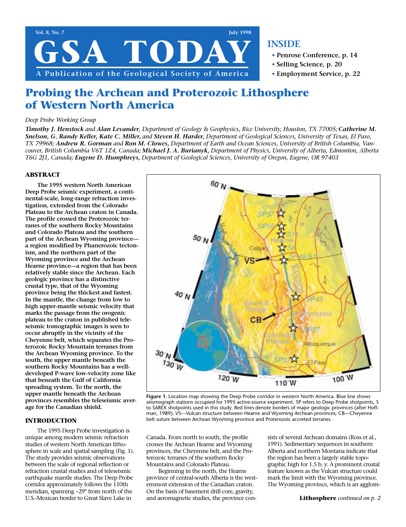

# **INSIDE**

- **• Penrose Conference, p. 14**
- **• Selling Science, p. 20**
- **• Employment Service, p. 22**

# **Probing the Archean and Proterozoic Lithosphere of Western North America**

### *Deep Probe Working Group*

*Timothy J. Henstock and Alan Levander, Department of Geology & Geophysics, Rice University, Houston, TX 77005; Catherine M. Snelson, G. Randy Keller, Kate C. Miller, and Steven H. Harder, Department of Geological Sciences, University of Texas, El Paso, TX 79968; Andrew R. Gorman and Ron M. Clowes, Department of Earth and Ocean Sciences, University of British Columbia, Vancouver, British Columbia V6T 1Z4, Canada; Michael J. A. Burianyk, Department of Physics, University of Alberta, Edmonton, Alberta T6G 2J1, Canada; Eugene D. Humphreys, Department of Geological Sciences, University of Oregon, Eugene, OR 97403*

### **ABSTRACT**

**The 1995 western North American Deep Probe seismic experiment, a continental-scale, long-range refraction investigation, extended from the Colorado Plateau to the Archean craton in Canada. The profile crossed the Proterozoic terranes of the southern Rocky Mountains and Colorado Plateau and the southern part of the Archean Wyoming province a region modified by Phanerozoic tectonism, and the northern part of the Wyoming province and the Archean Hearne province—a region that has been relatively stable since the Archean. Each geologic province has a distinctive crustal type, that of the Wyoming province being the thickest and fastest. In the mantle, the change from low to high upper-mantle seismic velocity that marks the passage from the orogenic plateau to the craton in published teleseismic tomographic images is seen to occur abruptly in the vicinity of the Cheyenne belt, which separates the Proterozoic Rocky Mountain terranes from the Archean Wyoming province. To the south, the upper mantle beneath the southern Rocky Mountains has a welldeveloped P-wave low-velocity zone like that beneath the Gulf of California spreading system. To the north, the upper mantle beneath the Archean provinces resembles the teleseismic average for the Canadian shield.**

### **INTRODUCTION**

The 1995 Deep Probe investigation is unique among modern seismic refraction studies of western North American lithosphere in scale and spatial sampling (Fig. 1). The study provides seismic observations between the scale of regional reflection or refraction crustal studies and of teleseismic earthquake mantle studies. The Deep Probe corridor approximately follows the 110th meridian, spanning ~29° from north of the U.S.-Mexican border to Great Slave Lake in



**Figure 1.** Location map showing the Deep Probe corridor in western North America. Blue line shows seismograph stations occupied for 1995 active-source experiment. SP refers to Deep Probe shotpoints, S to SAREX shotpoints used in this study. Red lines denote borders of major geologic provinces (after Hoffman, 1989). VS—Vulcan structure between Hearne and Wyoming Archean provinces; CB—Cheyenne belt suture between Archean Wyoming province and Proterozoic accreted terranes.

Canada. From north to south, the profile crosses the Archean Hearne and Wyoming provinces, the Cheyenne belt, and the Proterozoic terranes of the southern Rocky Mountains and Colorado Plateau.

Beginning in the north, the Hearne province of central-south Alberta is the westernmost extension of the Canadian craton. On the basis of basement drill core, gravity, and aeromagnetic studies, the province con-

sists of several Archean domains (Ross et al., 1991). Sedimentary sequences in southern Alberta and northern Montana indicate that the region has been a largely stable topographic high for 1.5 b. y. A prominent crustal feature known as the Vulcan structure could mark the limit with the Wyoming province. The Wyoming province, which is an agglom-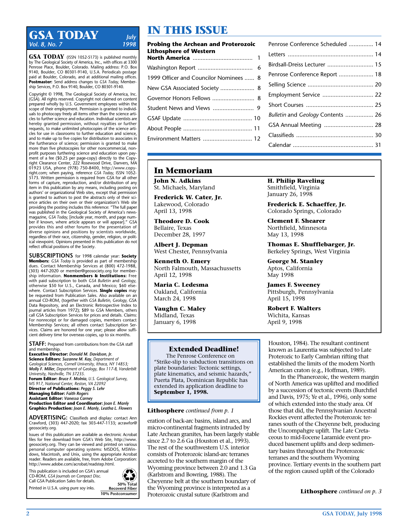# **GSA TODAY** *July*<br>Vol. 8, No. 7 1998 *Vol. 8, No. 7*

**GSA TODAY** (ISSN 1052-5173) is published monthly by The Geological Society of America, Inc., with offices at 3300 Penrose Place, Boulder, Colorado. Mailing address: P.O. Box 9140, Boulder, CO 80301-9140, U.S.A. Periodicals postage paid at Boulder, Colorado, and at additional mailing offices. **Postmaster:** Send address changes to *GSA Today,* Membership Services, P.O. Box 9140, Boulder, CO 80301-9140.

Copyright © 1998, The Geological Society of America, Inc. (GSA). All rights reserved. Copyright not claimed on content prepared wholly by U.S. Government employees within the scope of their employment. Permission is granted to individuals to photocopy freely all items other than the science articles to further science and education. Individual scientists are hereby granted permission, without royalties or further requests, to make unlimited photocopies of the science articles for use in classrooms to further education and science, and to make up to five copies for distribution to associates in the furtherance of science; permission is granted to make more than five photocopies for other noncommercial, nonprofit purposes furthering science and education upon payment of a fee (\$0.25 per page-copy) directly to the Copyright Clearance Center, 222 Rosewood Drive, Danvers, MA 01923 USA, phone (978) 750-8400, http://www.copyright.com; when paying, reference *GSA Today,* ISSN 1052- 5173. Written permission is required from GSA for all other forms of capture, reproduction, and/or distribution of any item in this publication by any means, including posting on authors' or organizational Web sites, except that permission is granted to authors to post the abstracts only of their science articles on their own or their organization's Web site providing the posting includes this reference: "The full paper was published in the Geological Society of America's newsmagazine, *GSA Today,* [include year, month, and page number if known, where article appears or will appear]." GSA provides this and other forums for the presentation of diverse opinions and positions by scientists worldwide, regardless of their race, citizenship, gender, religion, or political viewpoint. Opinions presented in this publication do not reflect official positions of the Society.

**SUBSCRIPTIONS** for 1998 calendar year: **Society Members:** *GSA Today* is provided as part of membership dues. Contact Membership Services at (800) 472-1988, (303) 447-2020 or member@geosociety.org for membership information. **Nonmembers & Institutions:** Free with paid subscription to both *GSA Bulletin* and *Geology,* otherwise \$50 for U.S., Canada, and Mexico; \$60 elsewhere. Contact Subscription Services. **Single copies** may be requested from Publication Sales. Also available on an annual CD-ROM, (together with *GSA Bulletin, Geology,* GSA Data Repository, and an Electronic Retrospective Index to journal articles from 1972); \$89 to GSA Members, others call GSA Subscription Services for prices and details. Claims: For nonreceipt or for damaged copies, members contact Membership Services; all others contact Subscription Services. Claims are honored for one year; please allow sufficient delivery time for overseas copies, up to six months.

**STAFF:** Prepared from contributions from the GSA staff and membership.

**Executive Director:** *Donald M. Davidson, Jr.* **Science Editors:** *Suzanne M. Kay, Department of Geological Sciences, Cornell University, Ithaca, NY 14853; Molly F. Miller, Department of Geology, Box 117-B, Vanderbilt University, Nashville, TN 37235.*

**Forum Editor:** *Bruce F. Molnia, U.S. Geological Survey, MS 917, National Center, Reston, VA 22092*

**Director of Publications:** *Peggy S. Lehr* **Managing Editor:** *Faith Rogers* **Assistant Editor:** *Vanessa Carney*

**Production Editor and Coordinator:** *Joan E. Manly* **Graphics Production:** *Joan E. Manly, Leatha L. Flowers*

**ADVERTISING:** Classifieds and display: contact Ann Crawford, (303) 447-2020; fax 303-447-1133; acrawfor@ geosociety.org.

Issues of this publication are available as electronic Acrobat files for free download from GSA's Web Site, http://www. geosociety.org. They can be viewed and printed on various personal computer operating systems: MSDOS, MSWindows, Macintosh, and Unix, using the appropriate Acrobat reader. Readers are available, free, from Adobe Corporation: http://www.adobe.com/acrobat/readstep.html.

This publication is included on GSA's annual CD-ROM, *GSA Journals on Compact Disc.*  Call GSA Publication Sales for details. Printed in U.S.A. using pure soy inks. **50% Total Recoverd Fiber**



# **IN THIS ISSUE**

| Probing the Archean and Proterozoic<br>Lithosphere of Western |  |  |
|---------------------------------------------------------------|--|--|
|                                                               |  |  |
|                                                               |  |  |
| 1999 Officer and Councilor Nominees  8                        |  |  |
| New GSA Associated Society  8                                 |  |  |
| Governor Honors Fellows  8                                    |  |  |
|                                                               |  |  |
|                                                               |  |  |
|                                                               |  |  |
| Environment Matters  12                                       |  |  |
|                                                               |  |  |

| Penrose Conference Scheduled  14  |  |
|-----------------------------------|--|
|                                   |  |
| Birdsall-Dreiss Lecturer  15      |  |
| Penrose Conference Report  18     |  |
|                                   |  |
| Employment Service  22            |  |
|                                   |  |
| Bulletin and Geology Contents  26 |  |
| GSA Annual Meeting  28            |  |
|                                   |  |
|                                   |  |
|                                   |  |

## **In Memoriam**

**John N. Adkins** St. Michaels, Maryland

**Frederick W. Cater, Jr.** Lakewood, Colorado April 13, 1998

**Theodore D. Cook** Bellaire, Texas December 28, 1997

**Albert J. Depman** West Chester, Pennsylvania

**Kenneth O. Emery** North Falmouth, Massachussetts April 12, 1998

**Maria C. Ledesma** Oakland, California March 24, 1998

**Vaughn C. Maley** Midland, Texas January 6, 1998

## **Extended Deadline!**

The Penrose Conference on "Strike-slip to subduction transitions on plate boundaries: Tectonic settings, plate kinematics, and seismic hazards," Puerta Plata, Dominican Republic has extended its application deadline to **September 1, 1998.**

### **Lithosphere** *continued from p. 1*

eration of back-arc basins, island arcs, and micro-continental fragments intruded by Late Archean granites, has been largely stable since 2.7 to 2.6 Ga (Houston et al., 1993). The rest of the southwestern U.S. interior consists of Proterozoic island-arc terranes accreted to the southern margin of the Wyoming province between 2.0 and 1.3 Ga (Karlstrom and Bowring, 1988). The Cheyenne belt at the southern boundary of the Wyoming province is interpreted as a Proterozoic crustal suture (Karlstrom and

**H. Philip Raveling** Smithfield, Virginia January 26, 1998

**Frederick E. Schaeffer, Jr.** Colorado Springs, Colorado

**Clement F. Shearer** Northfield, Minnesota May 13, 1998

**Thomas E. Shufflebarger, Jr.** Berkeley Springs, West Virginia

**George M. Stanley** Aptos, California May 1998

**James F. Sweeney** Pittsburgh, Pennsylvania April 15, 1998

**Robert F. Walters** Wichita, Kansas April 9, 1998

Houston, 1984). The resultant continent known as Laurentia was subjected to Late Proterozic to Early Cambrian rifting that established the limits of the modern North American craton (e.g., Hoffman, 1989).

In the Phanerozoic, the western margin of North America was uplifted and modified by a succession of tectonic events (Burchfiel and Davis, 1975; Ye et al., 1996), only some of which extended into the study area. Of those that did, the Pennsylvanian Ancestral Rockies event affected the Proterozoic terranes south of the Cheyenne belt, producing the Uncompahgre uplift. The Late Cretaceous to mid-Eocene Laramide event produced basement uplifts and deep sedimentary basins throughout the Proterozoic terranes and the southern Wyoming province. Tertiary events in the southern part of the region caused uplift of the Colorado

**Lithosphere** *continued on p. 3*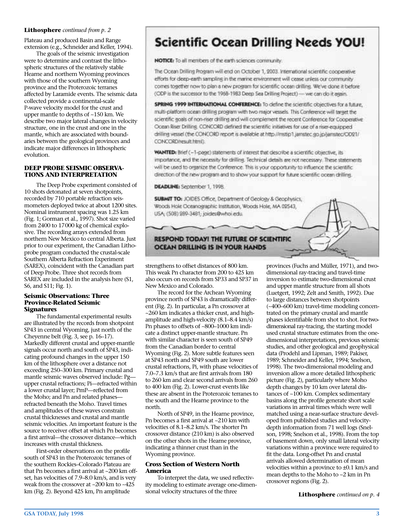### **Lithosphere** *continued from p. 2*

Plateau and produced Basin and Range extension (e.g., Schneider and Keller, 1994).

The goals of the seismic investigation were to determine and contrast the lithospheric structures of the relatively stable Hearne and northern Wyoming provinces with those of the southern Wyoming province and the Proterozoic terranes affected by Laramide events. The seismic data collected provide a continental-scale P-wave velocity model for the crust and upper mantle to depths of ~150 km. We describe two major lateral changes in velocity structure, one in the crust and one in the mantle, which are associated with boundaries between the geological provinces and indicate major differences in lithospheric evolution.

### **DEEP PROBE SEISMIC OBSERVA-TIONS AND INTERPRETATION**

The Deep Probe experiment consisted of 10 shots detonated at seven shotpoints, recorded by 710 portable refraction seismometers deployed twice at about 1200 sites. Nominal instrument spacing was 1.25 km (Fig. 1; Gorman et al., 1997). Shot size varied from 2400 to 17000 kg of chemical explosive. The recording arrays extended from northern New Mexico to central Alberta. Just prior to our experiment, the Canadian Lithoprobe program conducted the crustal-scale Southern Alberta Refraction Experiment (SAREX), coincident with the Canadian part of Deep Probe. Three shot records from SAREX are included in the analysis here (S1, S6, and S11; Fig. 1).

### **Seismic Observations: Three Province-Related Seismic Signatures**

The fundamental experimental results are illustrated by the records from shotpoint SP43 in central Wyoming, just north of the Cheyenne belt (Fig. 3, see p. 16–17). Markedly different crustal and upper-mantle signals occur north and south of SP43, indicating profound changes in the upper 150 km of the lithosphere over a distance not exceeding 250–300 km. Primary crustal and mantle seismic waves observed include: Pg upper crustal refractions; Pi—refracted within a lower crustal layer; PmP—reflected from the Moho; and Pn and related phases refracted beneath the Moho. Travel times and amplitudes of these waves constrain crustal thicknesses and crustal and mantle seismic velocities. An important feature is the source to receiver offset at which Pn becomes a first arrival—the crossover distance—which increases with crustal thickness.

First-order observations on the profile south of SP43 in the Proterozoic terranes of the southern Rockies–Colorado Plateau are that Pn becomes a first arrival at ~200 km offset, has velocities of 7.9–8.0 km/s, and is very weak from the crossover at ~200 km to ~425 km (Fig. 2). Beyond 425 km, Pn amplitude

# **Scientific Ocean Drilling Needs YOU!**

NOTICE: To all members of the earth sciences community.

The Ocean Drilling Program will end on October 1, 2003. International scientific cooperative efforts for deep-earth sampling in the marine environment will cease unless our community comes together now to plan a new program for scientific ocean drilling. We've done it before (ODP is the successor to the 1968-1983 Deep Sea Drilling Project) - we can do it again.

SPRING 1999 INTERNATIONAL CONFERENCE: To define the scientific objectives for a future, multi-platform ocean drilling program with two major vessels. This Conference will target the scientific goals of non-riser drilling and will complement the recent Conference for Cooperative Ocean Riser Drilling. CONCORD defined the scientific initiatives for use of a riser-equipped drilling vessel (the CONCORD report is available at http://mstip1.jamstec.go.jp/jamstec/OD21/ CONCORD/result.html).

WANTED: Brief (-1-page) statements of interest that describe a scientific objective, its importance, and the necessity for drilling. Technical details are not necessary. These statements will be used to organize the Conference. This is your opportunity to influence the scientific. direction of the new program and to show your support for future scientific ocean drilling.

**DEADLINE:** September 1, 1998.

**SUBMIT TO: JOIDES Office, Department of Geology & Geophysics,** Woods Hole Oceanographic Institution, Woods Hole, MA 02543, USA; (508) 289-3481; joides@whoi.edu.

## **RESPOND TODAY! THE FUTURE OF SCIENTIFIC OCEAN DRILLING IS IN YOUR HANDS**

strengthens to offset distances of 800 km. This weak Pn character from 200 to 425 km also occurs on records from SP33 and SP37 in New Mexico and Colorado.

The record for the Archean Wyoming province north of SP43 is dramatically different (Fig. 2). In particular, a Pn crossover at ~260 km indicates a thicker crust, and highamplitude and high-velocity (8.1–8.4 km/s) Pn phases to offsets of ~800–1000 km indicate a distinct upper-mantle structure. Pn with similar character is seen south of SP49 from the Canadian border to central Wyoming (Fig. 2). More subtle features seen at SP43 north and SP49 south are lower crustal refractions, Pi, with phase velocities of 7.0–7.3 km/s that are first arrivals from 180 to 260 km and clear second arrivals from 260 to 400 km (Fig. 2). Lower-crust events like these are absent in the Proterozoic terranes to the south and the Hearne province to the north.

North of SP49, in the Hearne province, Pn becomes a first arrival at ~210 km with velocities of 8.1–8.2 km/s. The shorter Pn crossover distance (210 km) is also observed on the other shots in the Hearne province, indicating a thinner crust than in the Wyoming province.

### **Cross Section of Western North America**

To interpret the data, we used reflectivity modeling to estimate average one-dimensional velocity structures of the three

provinces (Fuchs and Müller, 1971), and twodimensional ray-tracing and travel-time inversion to estimate two-dimensional crust and upper mantle structure from all shots (Luetgert, 1992; Zelt and Smith, 1992). Due to large distances between shotpoints (~400–600 km) travel-time modeling concentrated on the primary crustal and mantle phases identifiable from shot to shot. For twodimensional ray-tracing, the starting model used crustal structure estimates from the onedimensional interpretations, previous seismic studies, and other geological and geophysical data (Prodehl and Lipman, 1989; Pakiser, 1989; Schneider and Keller, 1994; Snelson, 1998). The two-dimensional modeling and inversion allow a more detailed lithospheric picture (Fig. 2), particularly where Moho depth changes by 10 km over lateral distances of ~100 km. Complex sedimentary basins along the profile generate short scale variations in arrival times which were well matched using a near-surface structure developed from published studies and velocitydepth information from 71 well logs (Snelson, 1998; Snelson et al., 1998). From the top of basement down, only small lateral velocity variations within a province were required to fit the data. Long-offset Pn and crustal arrivals allowed determination of mean velocities within a province to ±0.1 km/s and mean depths to the Moho to ~2 km in Pn crossover regions (Fig. 2).

**Lithosphere** *continued on p. 4*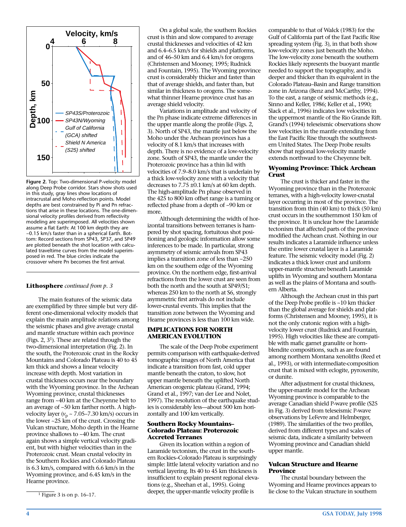

**Figure 2.** Top: Two-dimensional P-velocity model along Deep Probe corridor. Stars show shots used in this study, gray lines show locations of intracrustal and Moho reflection points. Model depths are best constrained by Pi and Pn refractions that arise in these locations. The one-dimensional velocity profiles derived from reflectivity modeling are superimposed. All velocities shown assume a flat Earth: At 100 km depth they are ~0.15 km/s faster than in a spherical Earth. Bottom: Record sections from SP43, SP37, and SP49 are plotted beneath the shot location with calculated traveltime curves from the model superimposed in red. The blue circles indicate the crossover where Pn becomes the first arrival.

#### **Lithosphere** *continued from p. 3*

The main features of the seismic data are exemplified by three simple but very different one-dimensional velocity models that explain the main amplitude relations among the seismic phases and give average crustal and mantle structure within each province (Figs. 2,  $3<sup>1</sup>$ ). These are related through the two-dimensional interpretation (Fig. 2). In the south, the Proterozoic crust in the Rocky Mountains and Colorado Plateau is 40 to 45 km thick and shows a linear velocity increase with depth. Most variation in crustal thickness occurs near the boundary with the Wyoming province. In the Archean Wyoming province, crustal thicknesses range from ~40 km at the Cheyenne belt to an average of ~50 km farther north. A highvelocity layer ( $v_p \sim 7.05-7.30$  km/s) occurs in the lower ~25 km of the crust. Crossing the Vulcan structure, Moho depth in the Hearne province shallows to ~40 km. The crust again shows a simple vertical velocity gradient, but with higher velocities than in the Proterozoic crust. Mean crustal velocity in the Southern Rockies and Colorado Plateau is 6.3 km/s, compared with 6.6 km/s in the Wyoming province, and 6.45 km/s in the Hearne province.

On a global scale, the southern Rockies crust is thin and slow compared to average crustal thicknesses and velocities of 42 km and 6.4–6.5 km/s for shields and platforms, and of 46–50 km and 6.4 km/s for orogens (Christensen and Mooney, 1995; Rudnick and Fountain, 1995). The Wyoming province crust is considerably thicker and faster than that of average shields, and faster than, but similar in thickness to orogens. The somewhat thinner Hearne province crust has an average shield velocity.

Variations in amplitude and velocity of the Pn phase indicate extreme differences in the upper mantle along the profile (Figs. 2, 3). North of SP43, the mantle just below the Moho under the Archean provinces has a velocity of 8.1 km/s that increases with depth. There is no evidence of a low-velocity zone. South of SP43, the mantle under the Proterozoic province has a thin lid with velocities of 7.9–8.0 km/s that is underlain by a thick low-velocity zone with a velocity that decreases to 7.75 ±0.1 km/s at 60 km depth. The high-amplitude Pn phase observed in the 425 to 800 km offset range is a turning or reflected phase from a depth of ~90 km or more.

Although determining the width of horizontal transitions between terranes is hampered by shot spacing, fortuitous shot positioning and geologic information allow some inferences to be made. In particular, strong asymmetry of seismic arrivals from SP43 implies a transition zone of less than ~250 km on the southern edge of the Wyoming province. On the northern edge, first-arrival refractions from the lower crust are seen from both the north and the south at SP49/S1; whereas 250 km to the north at S6, strongly asymmetric first arrivals do not include lower-crustal events. This implies that the transition zone between the Wyoming and Hearne provinces is less than 100 km wide.

#### **IMPLICATIONS FOR NORTH AMERICAN EVOLUTION**

The scale of the Deep Probe experiment permits comparison with earthquake-derived tomographic images of North America that indicate a transition from fast, cold upper mantle beneath the craton, to slow, hot upper mantle beneath the uplifted North American orogenic plateau (Grand, 1994; Grand et al., 1997; van der Lee and Nolet, 1997). The resolution of the earthquake studies is considerably less—about 500 km horizontally and 100 km vertically.

### **Southern Rocky Mountains– Colorado Plateau: Proterozoic Accreted Terranes**

Given its location within a region of Laramide tectonism, the crust in the southern Rockies–Colorado Plateau is surprisingly simple: little lateral velocity variation and no vertical layering. Its 40 to 45 km thickness is insufficient to explain present regional elevations (e.g., Sheehan et al., 1995). Going deeper, the upper-mantle velocity profile is

comparable to that of Walck (1983) for the Gulf of California part of the East Pacific Rise spreading system (Fig. 3), in that both show low-velocity zones just beneath the Moho. The low-velocity zone beneath the southern Rockies likely represents the buoyant mantle needed to support the topography, and is deeper and thicker than its equivalent in the Colorado Plateau–Basin and Range transition zone in Arizona (Benz and McCarthy, 1994). To the east, a range of seismic methods (e.g., Sinno and Keller, 1986; Keller et al., 1990; Slack et al., 1996) indicates low velocities in the uppermost mantle of the Rio Grande Rift. Grand's (1994) teleseismic observations show low velocities in the mantle extending from the East Pacific Rise through the southwestern United States. The Deep Probe results show that regional low-velocity mantle extends northward to the Cheyenne belt.

### **Wyoming Province: Thick Archean Crust**

The crust is thicker and faster in the Wyoming province than in the Proterozoic terranes, with a high-velocity lower-crustal layer occurring in most of the province. The transition from thin (40 km) to thick (50 km) crust occurs in the southernmost 150 km of the province. It is unclear how the Laramide tectonism that affected parts of the province modified the Archean crust. Nothing in our results indicates a Laramide influence unless the entire lower crustal layer is a Laramide feature. The seismic velocity model (Fig. 2) indicates a thick lower crust and uniform upper-mantle structure beneath Laramide uplifts in Wyoming and southern Montana as well as the plains of Montana and southern Alberta.

Although the Archean crust in this part of the Deep Probe profile is ~10 km thicker than the global average for shields and platforms (Christensen and Mooney, 1995), it is not the only cratonic region with a highvelocity lower crust (Rudnick and Fountain, 1995). High velocities like these are compatible with mafic garnet granulite or hornblendite compositions, such as are found among northern Montana xenoliths (Reed et al., 1993), or with intermediate-composition crust that is mixed with eclogite, pyroxenite, or dunite.

After adjustment for crustal thickness, the upper-mantle model for the Archean Wyoming province is comparable to the average Canadian shield P-wave profile (S25 in Fig. 3) derived from teleseismic P-wave observations by LeFevre and Helmberger, (1989). The similarities of the two profiles, derived from different types and scales of seismic data, indicate a similarity between Wyoming province and Canadian shield upper mantle.

### **Vulcan Structure and Hearne Province**

The crustal boundary between the Wyoming and Hearne provinces appears to lie close to the Vulcan structure in southern

 $<sup>1</sup>$  Figure 3 is on p. 16–17.</sup>